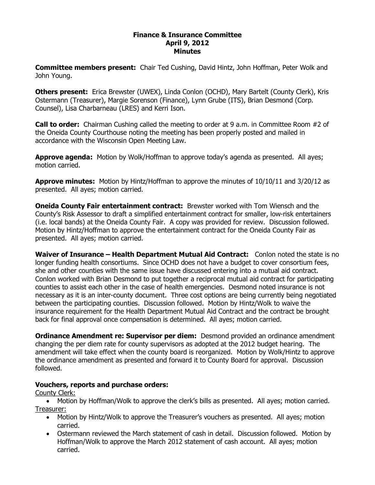### **Finance & Insurance Committee April 9, 2012 Minutes**

**Committee members present:**  Chair Ted Cushing, David Hintz, John Hoffman, Peter Wolk and John Young.

**Others present:**  Erica Brewster (UWEX), Linda Conlon (OCHD), Mary Bartelt (County Clerk), Kris Ostermann (Treasurer), Margie Sorenson (Finance), Lynn Grube (ITS), Brian Desmond (Corp. Counsel), Lisa Charbarneau (LRES) and Kerri Ison.

**Call to order:**  Chairman Cushing called the meeting to order at 9 a.m. in Committee Room #2 of the Oneida County Courthouse noting the meeting has been properly posted and mailed in accordance with the Wisconsin Open Meeting Law.

**Approve agenda:** Motion by Wolk/Hoffman to approve today's agenda as presented. All ayes; motion carried.

**Approve minutes:** Motion by Hintz/Hoffman to approve the minutes of 10/10/11 and 3/20/12 as presented. All ayes; motion carried.

**Oneida County Fair entertainment contract:** Brewster worked with Tom Wiensch and the County's Risk Assessor to draft a simplified entertainment contract for smaller, lowrisk entertainers (i.e. local bands) at the Oneida County Fair. A copy was provided for review. Discussion followed. Motion by Hintz/Hoffman to approve the entertainment contract for the Oneida County Fair as presented. All ayes; motion carried.

**Waiver of Insurance – Health Department Mutual Aid Contract:** Conlon noted the state is no longer funding health consortiums. Since OCHD does not have a budget to cover consortium fees, she and other counties with the same issue have discussed entering into a mutual aid contract. Conlon worked with Brian Desmond to put together a reciprocal mutual aid contract for participating counties to assist each other in the case of health emergencies. Desmond noted insurance is not necessary as it is an inter-county document. Three cost options are being currently being negotiated between the participating counties. Discussion followed. Motion by Hintz/Wolk to waive the insurance requirement for the Health Department Mutual Aid Contract and the contract be brought back for final approval once compensation is determined. All ayes; motion carried.

**Ordinance Amendment re: Supervisor per diem:** Desmond provided an ordinance amendment changing the per diem rate for county supervisors as adopted at the 2012 budget hearing. The amendment will take effect when the county board is reorganized. Motion by Wolk/Hintz to approve the ordinance amendment as presented and forward it to County Board for approval. Discussion followed.

# **Vouchers, reports and purchase orders:**

County Clerk:

· Motion by Hoffman/Wolk to approve the clerk's bills as presented. All ayes; motion carried. Treasurer:

- · Motion by Hintz/Wolk to approve the Treasurer's vouchers as presented. All ayes; motion carried.
- · Ostermann reviewed the March statement of cash in detail. Discussion followed. Motion by Hoffman/Wolk to approve the March 2012 statement of cash account. All ayes; motion carried.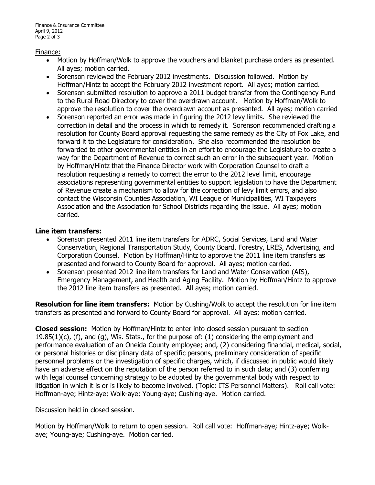#### Finance:

- · Motion by Hoffman/Wolk to approve the vouchers and blanket purchase orders as presented. All ayes; motion carried.
- · Sorenson reviewed the February 2012 investments. Discussion followed. Motion by Hoffman/Hintz to accept the February 2012 investment report. All ayes; motion carried.
- · Sorenson submitted resolution to approve a 2011 budget transfer from the Contingency Fund to the Rural Road Directory to cover the overdrawn account. Motion by Hoffman/Wolk to approve the resolution to cover the overdrawn account as presented. All ayes; motion carried
- · Sorenson reported an error was made in figuring the 2012 levy limits. She reviewed the correction in detail and the process in which to remedy it. Sorenson recommended drafting a resolution for County Board approval requesting the same remedy as the City of Fox Lake, and forward it to the Legislature for consideration. She also recommended the resolution be forwarded to other governmental entities in an effort to encourage the Legislature to create a way for the Department of Revenue to correct such an error in the subsequent year. Motion by Hoffman/Hintz that the Finance Director work with Corporation Counsel to draft a resolution requesting a remedy to correct the error to the 2012 level limit, encourage associations representing governmental entities to support legislation to have the Department of Revenue create a mechanism to allow for the correction of levy limit errors, and also contact the Wisconsin Counties Association, WI League of Municipalities, WI Taxpayers Association and the Association for School Districts regarding the issue. All ayes; motion carried.

## **Line item transfers:**

- Sorenson presented 2011 line item transfers for ADRC, Social Services, Land and Water Conservation, Regional Transportation Study, County Board, Forestry, LRES, Advertising, and Corporation Counsel. Motion by Hoffman/Hintz to approve the 2011 line item transfers as presented and forward to County Board for approval. All ayes; motion carried.
- · Sorenson presented 2012 line item transfers for Land and Water Conservation (AIS), Emergency Management, and Health and Aging Facility. Motion by Hoffman/Hintz to approve the 2012 line item transfers as presented. All ayes; motion carried.

**Resolution for line item transfers:** Motion by Cushing/Wolk to accept the resolution for line item transfers as presented and forward to County Board for approval. All ayes; motion carried.

**Closed session:** Motion by Hoffman/Hintz to enter into closed session pursuant to section 19.85(1)(c), (f), and (g), Wis. Stats., for the purpose of: (1) considering the employment and performance evaluation of an Oneida County employee; and, (2) considering financial, medical, social, or personal histories or disciplinary data of specific persons, preliminary consideration of specific personnel problems or the investigation of specific charges, which, if discussed in public would likely have an adverse effect on the reputation of the person referred to in such data; and (3) conferring with legal counsel concerning strategy to be adopted by the governmental body with respect to litigation in which it is or is likely to become involved. (Topic: ITS Personnel Matters). Roll call vote: Hoffman-aye; Hintz-aye; Wolk-aye; Young-aye; Cushing-aye. Motion carried.

Discussion held in closed session.

Motion by Hoffman/Wolk to return to open session. Roll call vote: Hoffman-aye; Hintz-aye; Wolkaye; Young-aye; Cushing-aye. Motion carried.